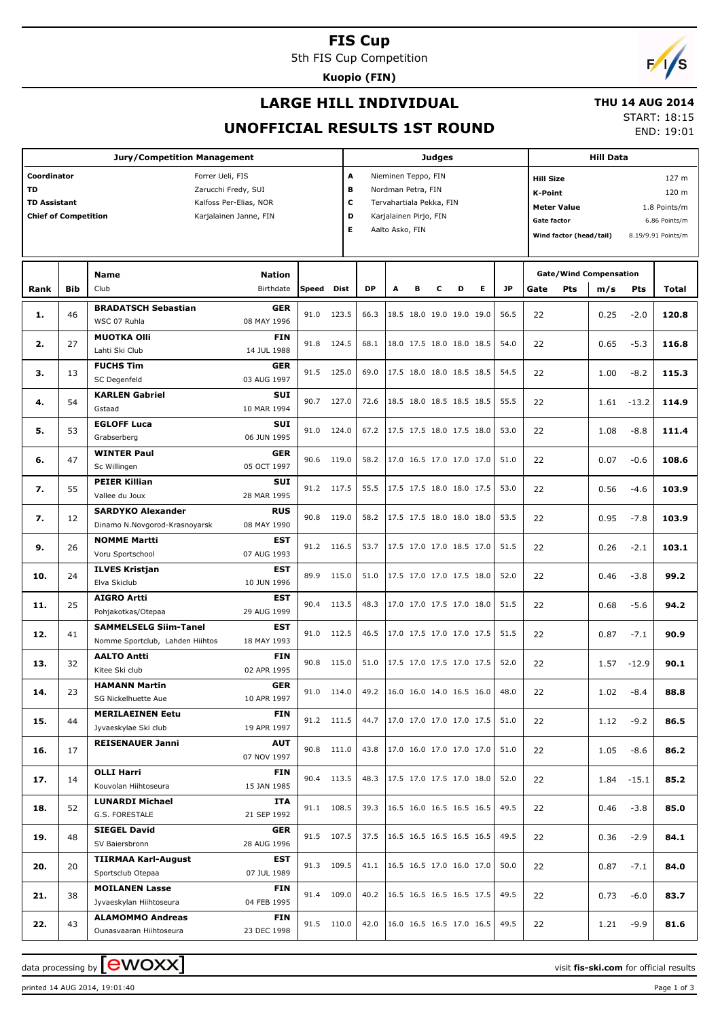### **FIS Cup**

5th FIS Cup Competition

**Kuopio (FIN)**

# $F/1/s$

## **LARGE HILL INDIVIDUAL**

#### **THU 14 AUG 2014**

## **UNOFFICIAL RESULTS 1ST ROUND**

START: 18:15 END: 19:01

|                                                                                |            | <b>Jury/Competition Management</b>                              |                                                  |       |                       |                               |                                                                                                                    |   | <b>Judges</b> |                                 |   |           |                                                                                                    |                               | <b>Hill Data</b> |         |                                                                       |
|--------------------------------------------------------------------------------|------------|-----------------------------------------------------------------|--------------------------------------------------|-------|-----------------------|-------------------------------|--------------------------------------------------------------------------------------------------------------------|---|---------------|---------------------------------|---|-----------|----------------------------------------------------------------------------------------------------|-------------------------------|------------------|---------|-----------------------------------------------------------------------|
| Coordinator<br><b>TD</b><br><b>TD Assistant</b><br><b>Chief of Competition</b> |            | Forrer Ueli, FIS<br>Zarucchi Fredy, SUI                         | Kalfoss Per-Elias, NOR<br>Karjalainen Janne, FIN |       | A<br>В<br>c<br>D<br>E |                               | Nieminen Teppo, FIN<br>Nordman Petra, FIN<br>Tervahartiala Pekka, FIN<br>Karjalainen Pirjo, FIN<br>Aalto Asko, FIN |   |               |                                 |   |           | <b>Hill Size</b><br><b>K-Point</b><br><b>Meter Value</b><br>Gate factor<br>Wind factor (head/tail) |                               |                  |         | 127 m<br>120 m<br>1.8 Points/m<br>6.86 Points/m<br>8.19/9.91 Points/m |
|                                                                                |            | Name                                                            | <b>Nation</b>                                    |       |                       |                               |                                                                                                                    |   |               |                                 |   |           |                                                                                                    | <b>Gate/Wind Compensation</b> |                  |         |                                                                       |
| Rank                                                                           | <b>Bib</b> | Club                                                            | Birthdate                                        | Speed | <b>Dist</b>           | <b>DP</b>                     | A                                                                                                                  | в | с             | D                               | Е | <b>JP</b> | Gate                                                                                               | Pts                           | m/s              | Pts     | Total                                                                 |
| 1.                                                                             | 46         | <b>BRADATSCH Sebastian</b><br>WSC 07 Ruhla                      | <b>GER</b><br>08 MAY 1996                        | 91.0  | 123.5                 | 66.3                          |                                                                                                                    |   |               | 18.5 18.0 19.0 19.0 19.0        |   | 56.5      | 22                                                                                                 |                               | 0.25             | $-2.0$  | 120.8                                                                 |
| 2.                                                                             | 27         | <b>MUOTKA OIII</b><br>Lahti Ski Club                            | <b>FIN</b><br>14 JUL 1988                        | 91.8  | 124.5                 | 68.1                          |                                                                                                                    |   |               | 18.0 17.5 18.0 18.0 18.5        |   | 54.0      | 22                                                                                                 |                               | 0.65             | $-5.3$  | 116.8                                                                 |
| з.                                                                             | 13         | <b>FUCHS Tim</b><br>SC Degenfeld                                | <b>GER</b><br>03 AUG 1997                        | 91.5  | 125.0                 | 69.0                          |                                                                                                                    |   |               | 17.5 18.0 18.0 18.5 18.5        |   | 54.5      | 22                                                                                                 |                               | 1.00             | $-8.2$  | 115.3                                                                 |
| 4.                                                                             | 54         | <b>KARLEN Gabriel</b><br>Gstaad                                 | <b>SUI</b><br>10 MAR 1994                        | 90.7  | 127.0                 | 72.6                          |                                                                                                                    |   |               | 18.5 18.0 18.5 18.5 18.5        |   | 55.5      | 22                                                                                                 |                               | 1.61             | $-13.2$ | 114.9                                                                 |
| 5.                                                                             | 53         | <b>EGLOFF Luca</b><br>Grabserberg                               | <b>SUI</b><br>06 JUN 1995                        | 91.0  | 124.0                 | 67.2                          |                                                                                                                    |   |               | 17.5 17.5 18.0 17.5 18.0        |   | 53.0      | 22                                                                                                 |                               | 1.08             | $-8.8$  | 111.4                                                                 |
| 6.                                                                             | 47         | <b>WINTER Paul</b><br>Sc Willingen                              | <b>GER</b><br>05 OCT 1997                        | 90.6  | 119.0                 | 58.2                          |                                                                                                                    |   |               | 17.0 16.5 17.0 17.0 17.0        |   | 51.0      | 22                                                                                                 |                               | 0.07             | $-0.6$  | 108.6                                                                 |
| 7.                                                                             | 55         | <b>PEIER Killian</b><br>Vallee du Joux                          | <b>SUI</b><br>28 MAR 1995                        |       | 91.2 117.5            | 55.5                          |                                                                                                                    |   |               | 17.5 17.5 18.0 18.0 17.5        |   | 53.0      | 22                                                                                                 |                               | 0.56             | $-4.6$  | 103.9                                                                 |
| 7.                                                                             | 12         | <b>SARDYKO Alexander</b><br>Dinamo N.Novgorod-Krasnoyarsk       | <b>RUS</b><br>08 MAY 1990                        | 90.8  | 119.0                 | 58.2                          |                                                                                                                    |   |               | 17.5 17.5 18.0 18.0 18.0        |   | 53.5      | 22                                                                                                 |                               | 0.95             | $-7.8$  | 103.9                                                                 |
| 9.                                                                             | 26         | <b>NOMME Martti</b><br>Voru Sportschool                         | <b>EST</b><br>07 AUG 1993                        |       | 91.2 116.5            | 53.7                          |                                                                                                                    |   |               | 17.5 17.0 17.0 18.5 17.0        |   | 51.5      | 22                                                                                                 |                               | 0.26             | $-2.1$  | 103.1                                                                 |
| 10.                                                                            | 24         | <b>ILVES Kristjan</b><br>Elva Skiclub                           | <b>EST</b><br>10 JUN 1996                        | 89.9  | 115.0                 | 51.0                          |                                                                                                                    |   |               | 17.5 17.0 17.0 17.5 18.0        |   | 52.0      | 22                                                                                                 |                               | 0.46             | $-3.8$  | 99.2                                                                  |
| 11.                                                                            | 25         | <b>AIGRO Artti</b><br>Pohjakotkas/Otepaa                        | <b>EST</b><br>29 AUG 1999                        | 90.4  | 113.5                 | 48.3                          |                                                                                                                    |   |               | 17.0 17.0 17.5 17.0 18.0        |   | 51.5      | 22                                                                                                 |                               | 0.68             | $-5.6$  | 94.2                                                                  |
| 12.                                                                            | 41         | <b>SAMMELSELG Siim-Tanel</b><br>Nomme Sportclub, Lahden Hiihtos | <b>EST</b><br>18 MAY 1993                        | 91.0  | 112.5                 | 46.5                          |                                                                                                                    |   |               | 17.0 17.5 17.0 17.0 17.5        |   | 51.5      | 22                                                                                                 |                               | 0.87             | $-7.1$  | 90.9                                                                  |
| 13.                                                                            | 32         | <b>AALTO Antti</b><br>Kitee Ski club                            | <b>FIN</b><br>02 APR 1995                        | 90.8  | 115.0                 | 51.0                          |                                                                                                                    |   |               | 17.5 17.0 17.5 17.0 17.5        |   | 52.0      | 22                                                                                                 |                               | 1.57             | $-12.9$ | 90.1                                                                  |
| 14.                                                                            | 23         | <b>HAMANN Martin</b><br>SG Nickelhuette Aue                     | <b>GER</b><br>10 APR 1997                        |       | 91.0 114.0            | 49.2 16.0 16.0 14.0 16.5 16.0 |                                                                                                                    |   |               |                                 |   | 48.0      | 22                                                                                                 |                               | 1.02             | $-8.4$  | 88.8                                                                  |
| 15.                                                                            | 44         | <b>MERILAEINEN Eetu</b><br>Jyvaeskylae Ski club                 | FIN<br>19 APR 1997                               |       | 91.2 111.5            |                               |                                                                                                                    |   |               | 44.7   17.0 17.0 17.0 17.0 17.5 |   | 51.0      | 22                                                                                                 |                               | 1.12             | $-9.2$  | 86.5                                                                  |
| 16.                                                                            | 17         | <b>REISENAUER Janni</b>                                         | <b>AUT</b><br>07 NOV 1997                        |       | 90.8 111.0            | 43.8                          |                                                                                                                    |   |               | 17.0 16.0 17.0 17.0 17.0        |   | 51.0      | 22                                                                                                 |                               | 1.05             | $-8.6$  | 86.2                                                                  |
| 17.                                                                            | 14         | <b>OLLI Harri</b><br>Kouvolan Hiihtoseura                       | FIN<br>15 JAN 1985                               |       | 90.4 113.5            | 48.3                          |                                                                                                                    |   |               | 17.5 17.0 17.5 17.0 18.0        |   | 52.0      | 22                                                                                                 |                               | 1.84             | $-15.1$ | 85.2                                                                  |
| 18.                                                                            | 52         | <b>LUNARDI Michael</b><br>G.S. FORESTALE                        | ITA<br>21 SEP 1992                               |       | 91.1 108.5            | 39.3                          |                                                                                                                    |   |               | 16.5 16.0 16.5 16.5 16.5        |   | 49.5      | 22                                                                                                 |                               | 0.46             | $-3.8$  | 85.0                                                                  |
| 19.                                                                            | 48         | <b>SIEGEL David</b><br>SV Baiersbronn                           | <b>GER</b><br>28 AUG 1996                        |       | 91.5 107.5            |                               |                                                                                                                    |   |               | 37.5   16.5 16.5 16.5 16.5 16.5 |   | 49.5      | 22                                                                                                 |                               | 0.36             | $-2.9$  | 84.1                                                                  |
| 20.                                                                            | 20         | <b>TIIRMAA Karl-August</b><br>Sportsclub Otepaa                 | EST<br>07 JUL 1989                               |       | 91.3 109.5            |                               |                                                                                                                    |   |               | 41.1   16.5 16.5 17.0 16.0 17.0 |   | 50.0      | 22                                                                                                 |                               | 0.87             | $-7.1$  | 84.0                                                                  |
| 21.                                                                            | 38         | <b>MOILANEN Lasse</b><br>Jyvaeskylan Hiihtoseura                | FIN<br>04 FEB 1995                               |       | 91.4 109.0            | 40.2                          |                                                                                                                    |   |               | 16.5 16.5 16.5 16.5 17.5        |   | 49.5      | 22                                                                                                 |                               | 0.73             | $-6.0$  | 83.7                                                                  |
| 22.                                                                            | 43         | <b>ALAMOMMO Andreas</b><br>Ounasvaaran Hiihtoseura              | <b>FIN</b><br>23 DEC 1998                        |       | 91.5 110.0            |                               |                                                                                                                    |   |               | 42.0   16.0 16.5 16.5 17.0 16.5 |   | 49.5      | 22                                                                                                 |                               | 1.21             | $-9.9$  | 81.6                                                                  |

data processing by **CWOXX**  $\blacksquare$ 

printed 14 AUG 2014, 19:01:40 Page 1 of 3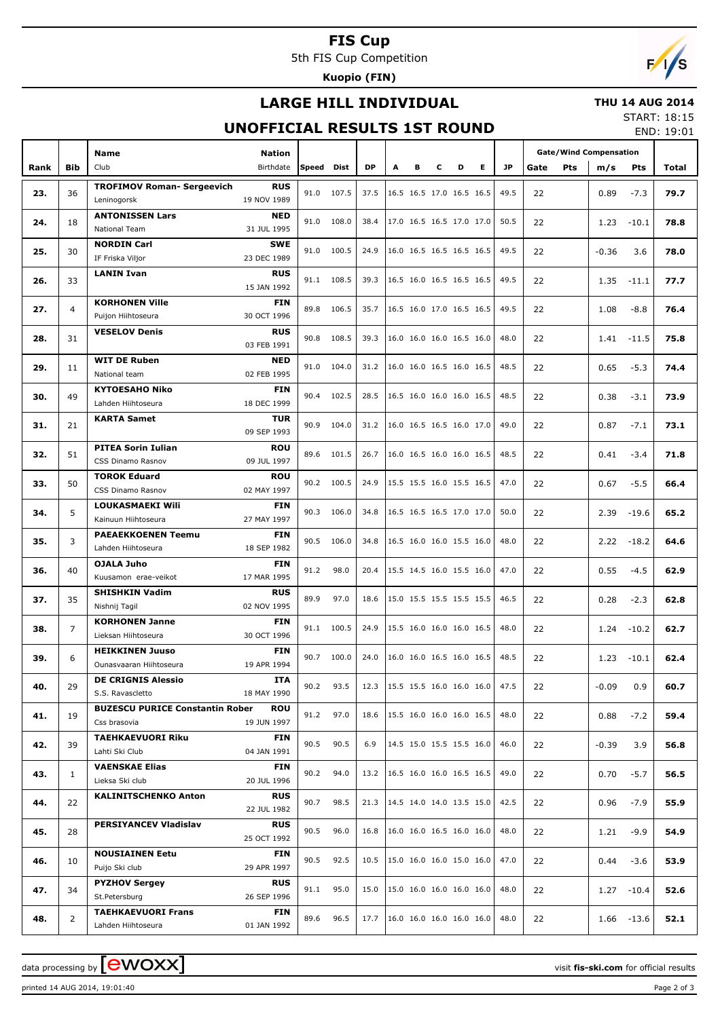## **FIS Cup**

5th FIS Cup Competition

**Kuopio (FIN)**

# **LARGE HILL INDIVIDUAL**

#### **THU 14 AUG 2014**

## **UNOFFICIAL RESULTS 1ST ROUND**

START: 18:15 END: 19:01

|      |                | <b>Name</b><br>Nation                                |      |            |           |                                      |                                      |   |   |                          |      |      |            | <b>Gate/Wind Compensation</b> |               |       |
|------|----------------|------------------------------------------------------|------|------------|-----------|--------------------------------------|--------------------------------------|---|---|--------------------------|------|------|------------|-------------------------------|---------------|-------|
| Rank | <b>Bib</b>     | Club<br>Birthdate                                    |      | Speed Dist | <b>DP</b> | Α                                    | в                                    | С | D | E.                       | JP.  | Gate | <b>Pts</b> | m/s                           | <b>Pts</b>    | Total |
|      |                |                                                      |      |            |           |                                      |                                      |   |   |                          |      |      |            |                               |               |       |
| 23.  | 36             | <b>TROFIMOV Roman- Sergeevich</b><br><b>RUS</b>      |      | 91.0 107.5 | 37.5      |                                      | 16.5 16.5 17.0 16.5 16.5             |   |   |                          | 49.5 | 22   |            | 0.89                          | $-7.3$        | 79.7  |
|      |                | Leninogorsk<br>19 NOV 1989                           |      |            |           |                                      |                                      |   |   |                          |      |      |            |                               |               |       |
|      | 18             | <b>ANTONISSEN Lars</b><br><b>NED</b>                 | 91.0 | 108.0      | 38.4      |                                      | 17.0 16.5 16.5 17.0 17.0             |   |   |                          | 50.5 |      |            |                               |               |       |
| 24.  |                | <b>National Team</b><br>31 JUL 1995                  |      |            |           |                                      |                                      |   |   |                          |      | 22   |            | 1.23                          | $-10.1$       | 78.8  |
|      |                | <b>NORDIN Carl</b><br><b>SWE</b>                     |      |            |           |                                      |                                      |   |   |                          |      |      |            |                               |               |       |
| 25.  | 30             | IF Friska Viljor<br>23 DEC 1989                      |      | 91.0 100.5 | 24.9      |                                      | 16.0 16.5 16.5 16.5 16.5             |   |   |                          | 49.5 | 22   |            | $-0.36$                       | 3.6           | 78.0  |
|      |                |                                                      |      |            |           |                                      |                                      |   |   |                          |      |      |            |                               |               |       |
| 26.  | 33             | <b>LANIN Ivan</b><br><b>RUS</b>                      |      | 91.1 108.5 | 39.3      |                                      | 16.5 16.0 16.5 16.5 16.5             |   |   |                          | 49.5 | 22   |            | 1.35                          | $-11.1$       | 77.7  |
|      |                | 15 JAN 1992                                          |      |            |           |                                      |                                      |   |   |                          |      |      |            |                               |               |       |
| 27.  | $\overline{4}$ | <b>KORHONEN Ville</b><br><b>FIN</b>                  | 89.8 | 106.5      | 35.7      |                                      | 16.5 16.0 17.0 16.5 16.5             |   |   |                          | 49.5 | 22   |            | 1.08                          | $-8.8$        | 76.4  |
|      |                | Puijon Hiihtoseura<br>30 OCT 1996                    |      |            |           |                                      |                                      |   |   |                          |      |      |            |                               |               |       |
|      |                | <b>VESELOV Denis</b><br><b>RUS</b>                   |      |            |           |                                      |                                      |   |   | 16.0 16.0 16.0 16.5 16.0 |      |      |            |                               |               |       |
| 28.  | 31             | 03 FEB 1991                                          | 90.8 | 108.5      | 39.3      |                                      |                                      |   |   |                          | 48.0 | 22   |            | 1.41                          | $-11.5$       | 75.8  |
|      |                | <b>WIT DE Ruben</b><br><b>NED</b>                    |      |            |           |                                      |                                      |   |   |                          |      |      |            |                               |               |       |
| 29.  | 11             | National team<br>02 FEB 1995                         | 91.0 | 104.0      | 31.2      |                                      | 16.0 16.0 16.5 16.0 16.5             |   |   |                          | 48.5 | 22   |            | 0.65                          | $-5.3$        | 74.4  |
|      |                |                                                      |      |            |           |                                      |                                      |   |   |                          |      |      |            |                               |               |       |
| 30.  | 49             | <b>KYTOESAHO Niko</b><br><b>FIN</b>                  | 90.4 | 102.5      | 28.5      |                                      |                                      |   |   | 16.5 16.0 16.0 16.0 16.5 | 48.5 | 22   | 0.38       | $-3.1$                        | 73.9          |       |
|      |                | Lahden Hiihtoseura<br>18 DEC 1999                    |      |            |           |                                      |                                      |   |   |                          |      |      |            |                               |               |       |
| 31.  | 21             | <b>KARTA Samet</b><br><b>TUR</b>                     | 90.9 | 104.0      | 31.2      |                                      | 16.0 16.5 16.5 16.0 17.0             |   |   |                          | 49.0 | 22   | 0.87       | $-7.1$                        | 73.1          |       |
|      |                | 09 SEP 1993                                          |      |            |           |                                      |                                      |   |   |                          |      |      |            |                               |               |       |
|      |                | <b>PITEA Sorin Iulian</b><br><b>ROU</b>              |      |            |           |                                      |                                      |   |   |                          |      |      |            |                               |               |       |
| 32.  | 51             | CSS Dinamo Rasnov<br>09 JUL 1997                     | 89.6 | 101.5      | 26.7      |                                      | 16.0 16.5 16.0 16.0 16.5             |   |   |                          | 48.5 | 22   |            | 0.41                          | $-3.4$        | 71.8  |
|      |                | <b>TOROK Eduard</b><br><b>ROU</b>                    |      |            |           |                                      |                                      |   |   |                          |      |      |            |                               |               |       |
| 33.  | 50             | CSS Dinamo Rasnov<br>02 MAY 1997                     |      | 90.2 100.5 | 24.9      |                                      | 15.5 15.5 16.0 15.5 16.5             |   |   |                          | 47.0 | 22   |            | 0.67                          | $-5.5$        | 66.4  |
|      |                |                                                      |      |            |           |                                      |                                      |   |   |                          |      |      |            |                               |               |       |
| 34.  | 5              | LOUKASMAEKI Wili<br><b>FIN</b>                       | 90.3 | 106.0      | 34.8      |                                      | 16.5 16.5 16.5 17.0 17.0             |   |   |                          | 50.0 | 22   |            | 2.39                          | $-19.6$       | 65.2  |
|      |                | Kainuun Hiihtoseura<br>27 MAY 1997                   |      |            |           |                                      |                                      |   |   |                          |      |      |            |                               |               |       |
| 35.  | 3              | <b>PAEAEKKOENEN Teemu</b><br><b>FIN</b>              | 90.5 | 106.0      | 34.8      |                                      | 16.5 16.0 16.0 15.5 16.0             |   |   |                          | 48.0 | 22   |            | 2.22                          | $-18.2$       | 64.6  |
|      |                | Lahden Hiihtoseura<br>18 SEP 1982                    |      |            |           |                                      |                                      |   |   |                          |      |      |            |                               |               |       |
|      |                | OJALA Juho<br><b>FIN</b>                             |      |            |           |                                      |                                      |   |   |                          |      |      |            |                               |               |       |
| 36.  | 40             | Kuusamon erae-veikot<br>17 MAR 1995                  | 91.2 | 98.0       | 20.4      |                                      | 15.5 14.5 16.0 15.5 16.0             |   |   |                          | 47.0 | 22   |            | 0.55                          | $-4.5$        | 62.9  |
|      |                | <b>SHISHKIN Vadim</b><br><b>RUS</b>                  |      |            |           |                                      |                                      |   |   |                          |      |      |            |                               |               |       |
| 37.  | 35             |                                                      | 89.9 | 97.0       | 18.6      |                                      | 15.0 15.5 15.5 15.5 15.5             |   |   |                          | 46.5 | 22   |            | 0.28                          | $-2.3$        | 62.8  |
|      |                | Nishnij Tagil<br>02 NOV 1995                         |      |            |           |                                      |                                      |   |   |                          |      |      |            |                               |               |       |
| 38.  | $\overline{7}$ | <b>KORHONEN Janne</b><br><b>FIN</b>                  | 91.1 | 100.5      | 24.9      |                                      | 15.5 16.0 16.0 16.0 16.5             |   |   |                          | 48.0 | 22   |            | 1.24                          | $-10.2$       | 62.7  |
|      |                | Lieksan Hiihtoseura<br>30 OCT 1996                   |      |            |           |                                      |                                      |   |   |                          |      |      |            |                               |               |       |
|      |                | <b>HEIKKINEN Juuso</b><br><b>FIN</b>                 | 90.7 |            |           |                                      |                                      |   |   |                          |      |      |            |                               |               |       |
| 39.  | 6              | 19 APR 1994<br>Ounasvaaran Hiihtoseura               |      | 100.0      | 24.0      |                                      | 16.0 16.0 16.5 16.0 16.5             |   |   |                          | 48.5 | 22   |            | 1.23                          | $-10.1$       | 62.4  |
|      |                | <b>DE CRIGNIS Alessio</b><br>ITA                     |      |            |           |                                      |                                      |   |   |                          |      |      |            |                               |               |       |
| 40.  | 29             | S.S. Ravascletto<br>18 MAY 1990                      | 90.2 | 93.5       |           | 12.3   15.5 15.5 16.0 16.0 16.0      |                                      |   |   |                          | 47.5 | 22   |            | $-0.09$                       | 0.9           | 60.7  |
|      |                | <b>BUZESCU PURICE Constantin Rober</b><br><b>ROU</b> |      |            |           |                                      |                                      |   |   |                          |      |      |            |                               |               |       |
| 41.  | 19             |                                                      |      | 91.2 97.0  | 18.6      |                                      | $15.5$ 16.0 16.0 16.0 16.5           |   |   |                          | 48.0 | 22   |            | 0.88                          | $-7.2$        | 59.4  |
|      |                | 19 JUN 1997<br>Css brasovia                          |      |            |           |                                      |                                      |   |   |                          |      |      |            |                               |               |       |
| 42.  | 39             | <b>TAEHKAEVUORI Riku</b><br><b>FIN</b>               | 90.5 | 90.5       | 6.9       |                                      | 14.5 15.0 15.5 15.5 16.0             |   |   |                          | 46.0 | 22   |            | $-0.39$                       | 3.9           | 56.8  |
|      |                | Lahti Ski Club<br>04 JAN 1991                        |      |            |           |                                      |                                      |   |   |                          |      |      |            |                               |               |       |
|      |                | <b>VAENSKAE Elias</b><br>FIN                         | 90.2 | 94.0       |           |                                      |                                      |   |   |                          | 49.0 |      |            |                               |               |       |
| 43.  | $\mathbf{1}$   | Lieksa Ski club<br>20 JUL 1996                       |      |            |           | 13.2   16.5 16.0 16.0 16.5 16.5      |                                      |   |   |                          |      | 22   |            | 0.70                          | $-5.7$        | 56.5  |
|      |                | <b>RUS</b><br><b>KALINITSCHENKO Anton</b>            |      |            |           |                                      |                                      |   |   |                          |      |      |            |                               |               |       |
| 44.  | 22             | 22 JUL 1982                                          | 90.7 | 98.5       |           | 21.3   14.5 14.0 14.0 13.5 15.0      |                                      |   |   |                          | 42.5 | 22   |            | 0.96                          | $-7.9$        | 55.9  |
|      |                |                                                      |      |            |           |                                      |                                      |   |   |                          |      |      |            |                               |               |       |
| 45.  | 28             | PERSIYANCEV Vladislav<br><b>RUS</b>                  | 90.5 | 96.0       | 16.8      |                                      | 16.0 16.0 16.5 16.0 16.0             |   |   |                          | 48.0 | 22   |            | 1.21                          | $-9.9$        | 54.9  |
|      |                | 25 OCT 1992                                          |      |            |           |                                      |                                      |   |   |                          |      |      |            |                               |               |       |
| 46.  | 10             | <b>NOUSIAINEN Eetu</b><br><b>FIN</b>                 | 90.5 | 92.5       | 10.5      |                                      | $ 15.0 \t16.0 \t16.0 \t15.0 \t16.0 $ |   |   |                          | 47.0 | 22   |            | 0.44                          | $-3.6$        | 53.9  |
|      |                | Puijo Ski club<br>29 APR 1997                        |      |            |           |                                      |                                      |   |   |                          |      |      |            |                               |               |       |
|      |                | <b>PYZHOV Sergey</b><br><b>RUS</b>                   |      |            |           |                                      |                                      |   |   |                          |      |      |            |                               |               |       |
| 47.  | 34             | St.Petersburg<br>26 SEP 1996                         | 91.1 | 95.0       | 15.0      |                                      | $ 15.0 \t16.0 \t16.0 \t16.0 \t16.0 $ |   |   |                          | 48.0 | 22   |            |                               | $1.27 - 10.4$ | 52.6  |
|      |                | <b>TAEHKAEVUORI Frans</b><br>FIN                     |      |            |           |                                      |                                      |   |   |                          |      |      |            |                               |               |       |
| 48.  | $\overline{2}$ | 01 JAN 1992<br>Lahden Hiihtoseura                    | 89.6 | 96.5       | 17.7      | $ 16.0 \t16.0 \t16.0 \t16.0 \t16.0 $ |                                      |   |   |                          | 48.0 | 22   |            |                               | $1.66 - 13.6$ | 52.1  |
|      |                |                                                      |      |            |           |                                      |                                      |   |   |                          |      |      |            |                               |               |       |

printed 14 AUG 2014, 19:01:40 Page 2 of 3

data processing by **CWOXX**  $\blacksquare$